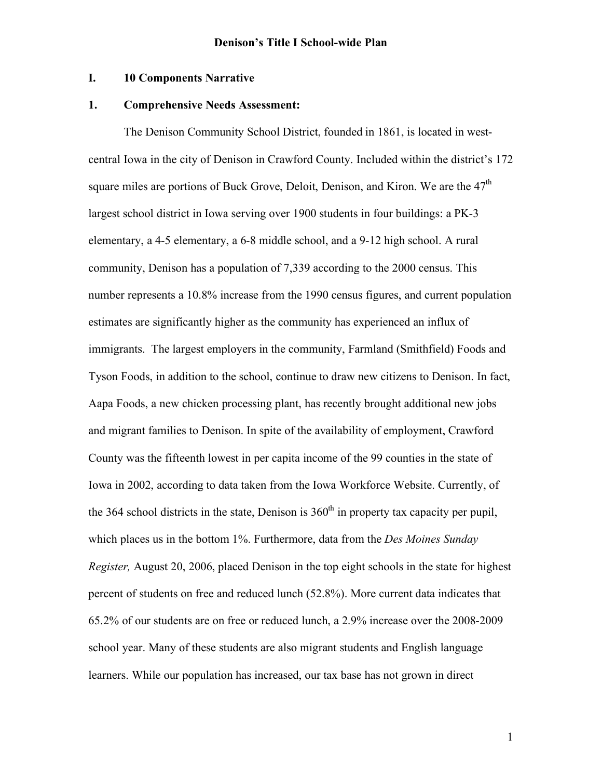### **I. 10 Components Narrative**

### **1. Comprehensive Needs Assessment:**

The Denison Community School District, founded in 1861, is located in westcentral Iowa in the city of Denison in Crawford County. Included within the district's 172 square miles are portions of Buck Grove, Deloit, Denison, and Kiron. We are the 47<sup>th</sup> largest school district in Iowa serving over 1900 students in four buildings: a PK-3 elementary, a 4-5 elementary, a 6-8 middle school, and a 9-12 high school. A rural community, Denison has a population of 7,339 according to the 2000 census. This number represents a 10.8% increase from the 1990 census figures, and current population estimates are significantly higher as the community has experienced an influx of immigrants. The largest employers in the community, Farmland (Smithfield) Foods and Tyson Foods, in addition to the school, continue to draw new citizens to Denison. In fact, Aapa Foods, a new chicken processing plant, has recently brought additional new jobs and migrant families to Denison. In spite of the availability of employment, Crawford County was the fifteenth lowest in per capita income of the 99 counties in the state of Iowa in 2002, according to data taken from the Iowa Workforce Website. Currently, of the 364 school districts in the state, Denison is  $360<sup>th</sup>$  in property tax capacity per pupil, which places us in the bottom 1%. Furthermore, data from the *Des Moines Sunday Register,* August 20, 2006, placed Denison in the top eight schools in the state for highest percent of students on free and reduced lunch (52.8%). More current data indicates that 65.2% of our students are on free or reduced lunch, a 2.9% increase over the 2008-2009 school year. Many of these students are also migrant students and English language learners. While our population has increased, our tax base has not grown in direct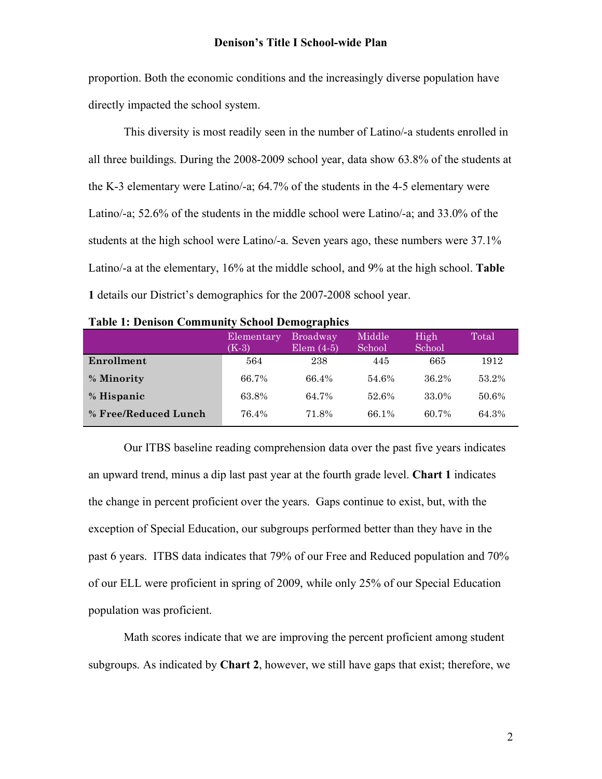proportion. Both the economic conditions and the increasingly diverse population have directly impacted the school system.

This diversity is most readily seen in the number of Latino/-a students enrolled in all three buildings. During the 2008-2009 school year, data show 63.8% of the students at the K-3 elementary were Latino/-a; 64.7% of the students in the 4-5 elementary were Latino/-a; 52.6% of the students in the middle school were Latino/-a; and 33.0% of the students at the high school were Latino/-a. Seven years ago, these numbers were 37.1% Latino/-a at the elementary, 16% at the middle school, and 9% at the high school. **Table 1** details our District's demographics for the 2007-2008 school year.

| тарк т. ренвон соннципсу эспол ренод арнез |                       |                                 |                  |                |       |
|--------------------------------------------|-----------------------|---------------------------------|------------------|----------------|-------|
|                                            | Elementary<br>$(K-3)$ | <b>Broadway</b><br>Elem $(4-5)$ | Middle<br>School | High<br>School | Total |
| Enrollment                                 | 564                   | 238                             | 445              | 665            | 1912  |
| % Minority                                 | 66.7%                 | 66.4%                           | 54.6%            | 36.2%          | 53.2% |
| % Hispanic                                 | 63.8%                 | 64.7%                           | 52.6%            | 33.0%          | 50.6% |
| % Free/Reduced Lunch                       | 76.4%                 | 71.8%                           | 66.1%            | 60.7%          | 64.3% |

| <b>Table 1: Denison Community School Demographics</b> |  |
|-------------------------------------------------------|--|
|-------------------------------------------------------|--|

Our ITBS baseline reading comprehension data over the past five years indicates an upward trend, minus a dip last past year at the fourth grade level. **Chart 1** indicates the change in percent proficient over the years. Gaps continue to exist, but, with the exception of Special Education, our subgroups performed better than they have in the past 6 years. ITBS data indicates that 79% of our Free and Reduced population and 70% of our ELL were proficient in spring of 2009, while only 25% of our Special Education population was proficient.

Math scores indicate that we are improving the percent proficient among student subgroups. As indicated by **Chart 2**, however, we still have gaps that exist; therefore, we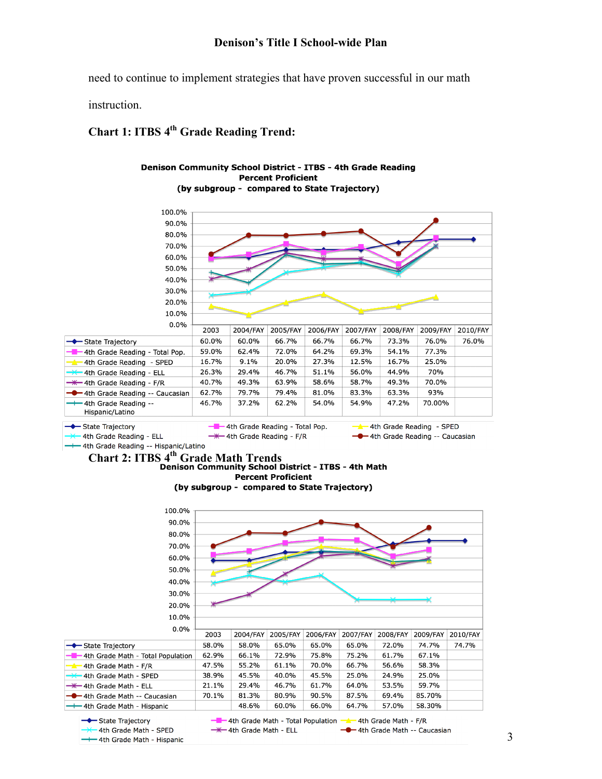need to continue to implement strategies that have proven successful in our math

instruction.

# **Chart 1: ITBS 4<sup>th</sup> Grade Reading Trend:**

#### Denison Community School District - ITBS - 4th Grade Reading **Percent Proficient** (by subgroup - compared to State Trajectory)



# <sup>----</sup> 4th Grade Reading -- Hispanic/Latino<br>**Chart 2: ITBS 4<sup>th</sup> Grade Math Trends**<br>**Denison Community School District - ITBS - 4th Math Percent Proficient**

(by subgroup - compared to State Trajectory)

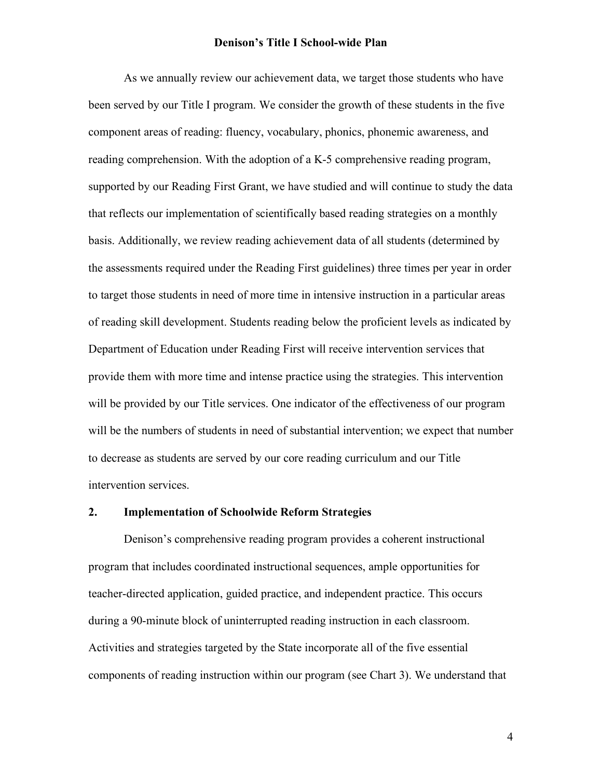As we annually review our achievement data, we target those students who have been served by our Title I program. We consider the growth of these students in the five component areas of reading: fluency, vocabulary, phonics, phonemic awareness, and reading comprehension. With the adoption of a K-5 comprehensive reading program, supported by our Reading First Grant, we have studied and will continue to study the data that reflects our implementation of scientifically based reading strategies on a monthly basis. Additionally, we review reading achievement data of all students (determined by the assessments required under the Reading First guidelines) three times per year in order to target those students in need of more time in intensive instruction in a particular areas of reading skill development. Students reading below the proficient levels as indicated by Department of Education under Reading First will receive intervention services that provide them with more time and intense practice using the strategies. This intervention will be provided by our Title services. One indicator of the effectiveness of our program will be the numbers of students in need of substantial intervention; we expect that number to decrease as students are served by our core reading curriculum and our Title intervention services.

### **2. Implementation of Schoolwide Reform Strategies**

Denison's comprehensive reading program provides a coherent instructional program that includes coordinated instructional sequences, ample opportunities for teacher-directed application, guided practice, and independent practice. This occurs during a 90-minute block of uninterrupted reading instruction in each classroom. Activities and strategies targeted by the State incorporate all of the five essential components of reading instruction within our program (see Chart 3). We understand that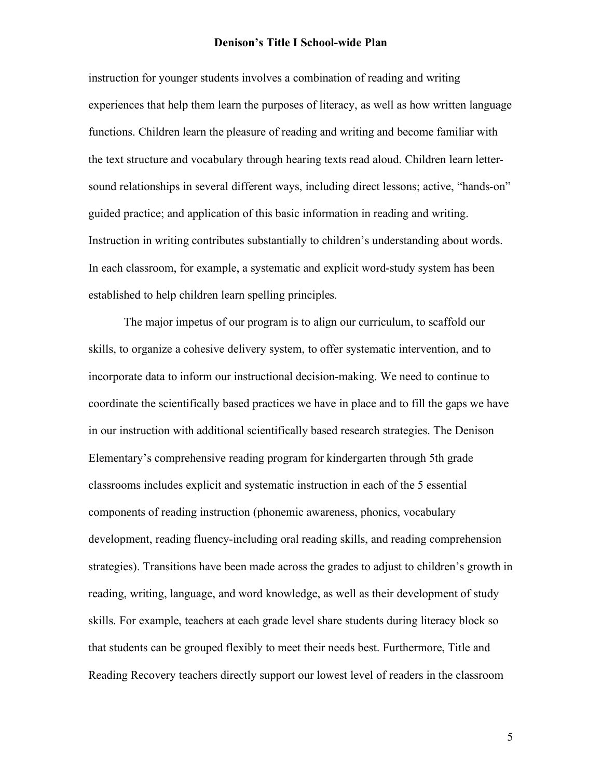instruction for younger students involves a combination of reading and writing experiences that help them learn the purposes of literacy, as well as how written language functions. Children learn the pleasure of reading and writing and become familiar with the text structure and vocabulary through hearing texts read aloud. Children learn lettersound relationships in several different ways, including direct lessons; active, "hands-on" guided practice; and application of this basic information in reading and writing. Instruction in writing contributes substantially to children's understanding about words. In each classroom, for example, a systematic and explicit word-study system has been established to help children learn spelling principles.

The major impetus of our program is to align our curriculum, to scaffold our skills, to organize a cohesive delivery system, to offer systematic intervention, and to incorporate data to inform our instructional decision-making. We need to continue to coordinate the scientifically based practices we have in place and to fill the gaps we have in our instruction with additional scientifically based research strategies. The Denison Elementary's comprehensive reading program for kindergarten through 5th grade classrooms includes explicit and systematic instruction in each of the 5 essential components of reading instruction (phonemic awareness, phonics, vocabulary development, reading fluency-including oral reading skills, and reading comprehension strategies). Transitions have been made across the grades to adjust to children's growth in reading, writing, language, and word knowledge, as well as their development of study skills. For example, teachers at each grade level share students during literacy block so that students can be grouped flexibly to meet their needs best. Furthermore, Title and Reading Recovery teachers directly support our lowest level of readers in the classroom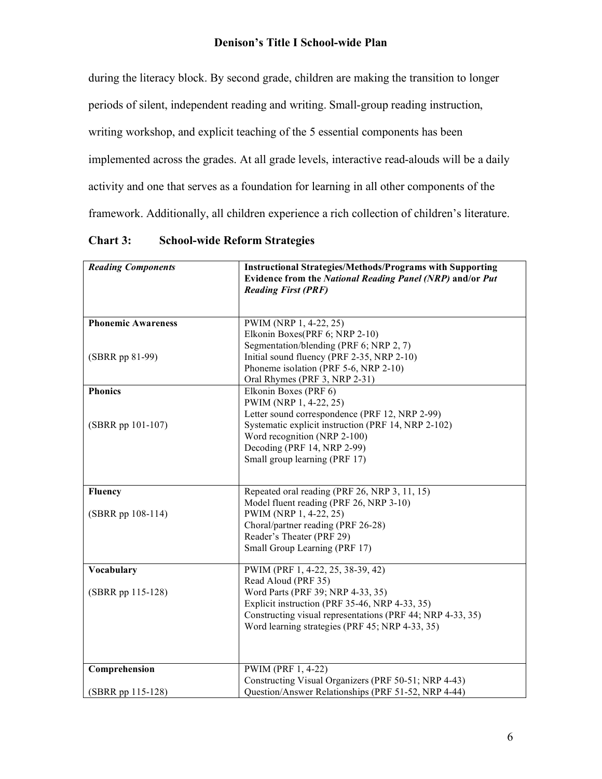during the literacy block. By second grade, children are making the transition to longer

periods of silent, independent reading and writing. Small-group reading instruction,

writing workshop, and explicit teaching of the 5 essential components has been

implemented across the grades. At all grade levels, interactive read-alouds will be a daily

activity and one that serves as a foundation for learning in all other components of the

framework. Additionally, all children experience a rich collection of children's literature.

| <b>Reading Components</b> | <b>Instructional Strategies/Methods/Programs with Supporting</b> |
|---------------------------|------------------------------------------------------------------|
|                           | Evidence from the National Reading Panel (NRP) and/or Put        |
|                           | <b>Reading First (PRF)</b>                                       |
|                           |                                                                  |
| <b>Phonemic Awareness</b> | PWIM (NRP 1, 4-22, 25)                                           |
|                           | Elkonin Boxes(PRF 6; NRP 2-10)                                   |
|                           | Segmentation/blending (PRF 6; NRP 2, 7)                          |
| (SBRR pp 81-99)           | Initial sound fluency (PRF 2-35, NRP 2-10)                       |
|                           | Phoneme isolation (PRF 5-6, NRP 2-10)                            |
|                           | Oral Rhymes (PRF 3, NRP 2-31)                                    |
| <b>Phonics</b>            | Elkonin Boxes (PRF 6)                                            |
|                           | PWIM (NRP 1, 4-22, 25)                                           |
|                           | Letter sound correspondence (PRF 12, NRP 2-99)                   |
| (SBRR pp 101-107)         | Systematic explicit instruction (PRF 14, NRP 2-102)              |
|                           | Word recognition (NRP 2-100)                                     |
|                           | Decoding (PRF 14, NRP 2-99)                                      |
|                           | Small group learning (PRF 17)                                    |
|                           |                                                                  |
|                           |                                                                  |
| <b>Fluency</b>            | Repeated oral reading (PRF 26, NRP 3, 11, 15)                    |
|                           | Model fluent reading (PRF 26, NRP 3-10)                          |
| $(SBRR pp 108-114)$       | PWIM (NRP 1, 4-22, 25)                                           |
|                           | Choral/partner reading (PRF 26-28)                               |
|                           | Reader's Theater (PRF 29)                                        |
|                           | Small Group Learning (PRF 17)                                    |
|                           |                                                                  |
| <b>Vocabulary</b>         | PWIM (PRF 1, 4-22, 25, 38-39, 42)                                |
|                           | Read Aloud (PRF 35)                                              |
| (SBRR pp 115-128)         | Word Parts (PRF 39; NRP 4-33, 35)                                |
|                           | Explicit instruction (PRF 35-46, NRP 4-33, 35)                   |
|                           | Constructing visual representations (PRF 44; NRP 4-33, 35)       |
|                           | Word learning strategies (PRF 45; NRP 4-33, 35)                  |
|                           |                                                                  |
|                           |                                                                  |
| Comprehension             | PWIM (PRF 1, 4-22)                                               |
|                           | Constructing Visual Organizers (PRF 50-51; NRP 4-43)             |
| (SBRR pp 115-128)         | Question/Answer Relationships (PRF 51-52, NRP 4-44)              |

**Chart 3: School-wide Reform Strategies**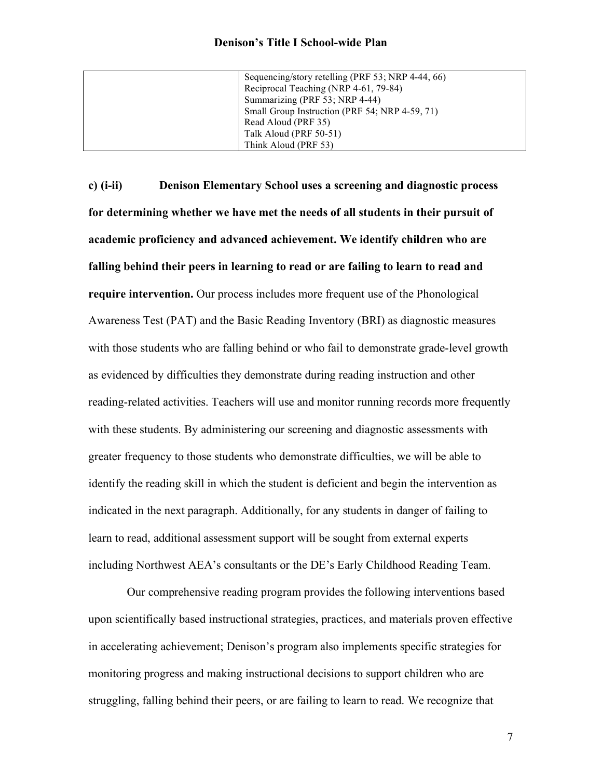| Sequencing/story retelling (PRF 53; NRP 4-44, 66) |
|---------------------------------------------------|
| Reciprocal Teaching (NRP 4-61, 79-84)             |
| Summarizing (PRF 53; NRP 4-44)                    |
| Small Group Instruction (PRF 54; NRP 4-59, 71)    |
| Read Aloud (PRF 35)                               |
| Talk Aloud (PRF 50-51)                            |
| Think Aloud (PRF 53)                              |

**c) (i-ii) Denison Elementary School uses a screening and diagnostic process for determining whether we have met the needs of all students in their pursuit of academic proficiency and advanced achievement. We identify children who are falling behind their peers in learning to read or are failing to learn to read and require intervention.** Our process includes more frequent use of the Phonological Awareness Test (PAT) and the Basic Reading Inventory (BRI) as diagnostic measures with those students who are falling behind or who fail to demonstrate grade-level growth as evidenced by difficulties they demonstrate during reading instruction and other reading-related activities. Teachers will use and monitor running records more frequently with these students. By administering our screening and diagnostic assessments with greater frequency to those students who demonstrate difficulties, we will be able to identify the reading skill in which the student is deficient and begin the intervention as indicated in the next paragraph. Additionally, for any students in danger of failing to learn to read, additional assessment support will be sought from external experts including Northwest AEA's consultants or the DE's Early Childhood Reading Team.

Our comprehensive reading program provides the following interventions based upon scientifically based instructional strategies, practices, and materials proven effective in accelerating achievement; Denison's program also implements specific strategies for monitoring progress and making instructional decisions to support children who are struggling, falling behind their peers, or are failing to learn to read. We recognize that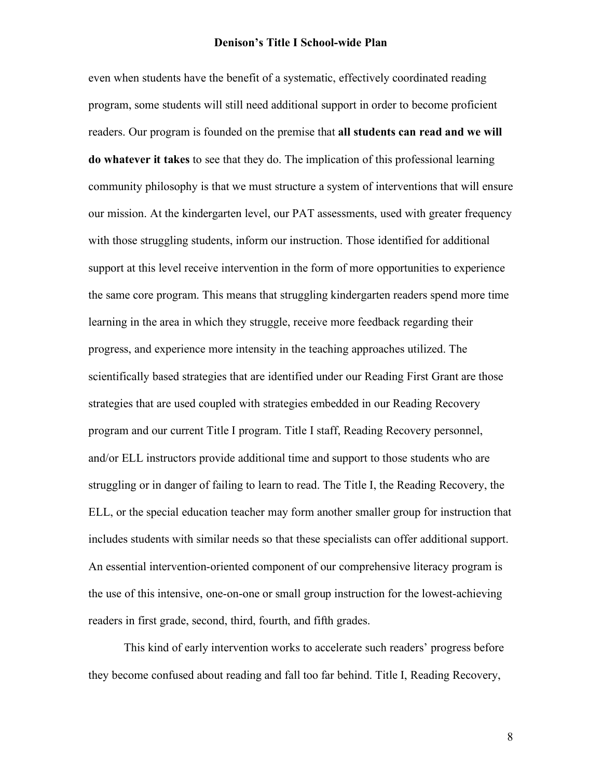even when students have the benefit of a systematic, effectively coordinated reading program, some students will still need additional support in order to become proficient readers. Our program is founded on the premise that **all students can read and we will do whatever it takes** to see that they do. The implication of this professional learning community philosophy is that we must structure a system of interventions that will ensure our mission. At the kindergarten level, our PAT assessments, used with greater frequency with those struggling students, inform our instruction. Those identified for additional support at this level receive intervention in the form of more opportunities to experience the same core program. This means that struggling kindergarten readers spend more time learning in the area in which they struggle, receive more feedback regarding their progress, and experience more intensity in the teaching approaches utilized. The scientifically based strategies that are identified under our Reading First Grant are those strategies that are used coupled with strategies embedded in our Reading Recovery program and our current Title I program. Title I staff, Reading Recovery personnel, and/or ELL instructors provide additional time and support to those students who are struggling or in danger of failing to learn to read. The Title I, the Reading Recovery, the ELL, or the special education teacher may form another smaller group for instruction that includes students with similar needs so that these specialists can offer additional support. An essential intervention-oriented component of our comprehensive literacy program is the use of this intensive, one-on-one or small group instruction for the lowest-achieving readers in first grade, second, third, fourth, and fifth grades.

This kind of early intervention works to accelerate such readers' progress before they become confused about reading and fall too far behind. Title I, Reading Recovery,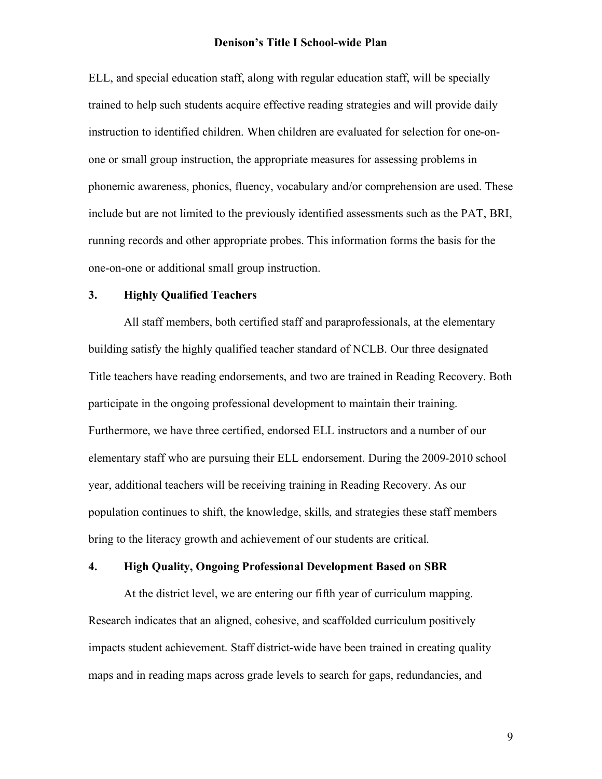ELL, and special education staff, along with regular education staff, will be specially trained to help such students acquire effective reading strategies and will provide daily instruction to identified children. When children are evaluated for selection for one-onone or small group instruction, the appropriate measures for assessing problems in phonemic awareness, phonics, fluency, vocabulary and/or comprehension are used. These include but are not limited to the previously identified assessments such as the PAT, BRI, running records and other appropriate probes. This information forms the basis for the one-on-one or additional small group instruction.

### **3. Highly Qualified Teachers**

All staff members, both certified staff and paraprofessionals, at the elementary building satisfy the highly qualified teacher standard of NCLB. Our three designated Title teachers have reading endorsements, and two are trained in Reading Recovery. Both participate in the ongoing professional development to maintain their training. Furthermore, we have three certified, endorsed ELL instructors and a number of our elementary staff who are pursuing their ELL endorsement. During the 2009-2010 school year, additional teachers will be receiving training in Reading Recovery. As our population continues to shift, the knowledge, skills, and strategies these staff members bring to the literacy growth and achievement of our students are critical.

### **4. High Quality, Ongoing Professional Development Based on SBR**

At the district level, we are entering our fifth year of curriculum mapping. Research indicates that an aligned, cohesive, and scaffolded curriculum positively impacts student achievement. Staff district-wide have been trained in creating quality maps and in reading maps across grade levels to search for gaps, redundancies, and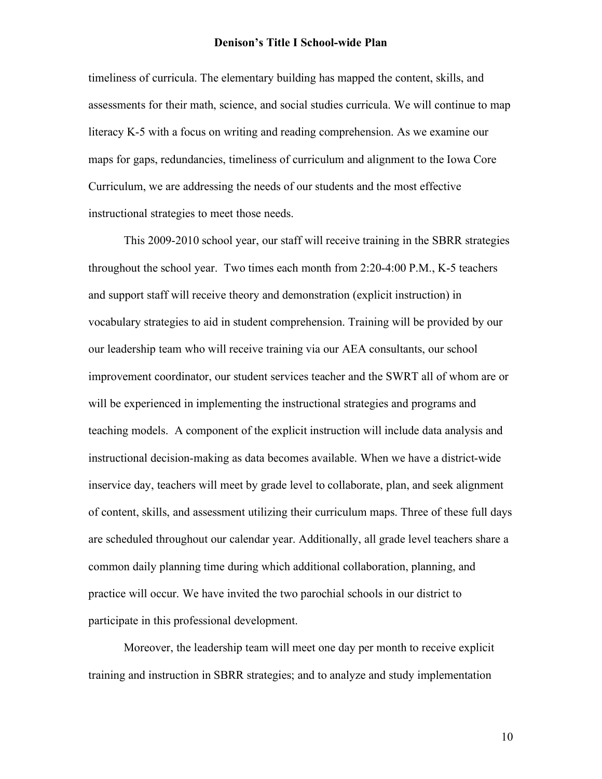timeliness of curricula. The elementary building has mapped the content, skills, and assessments for their math, science, and social studies curricula. We will continue to map literacy K-5 with a focus on writing and reading comprehension. As we examine our maps for gaps, redundancies, timeliness of curriculum and alignment to the Iowa Core Curriculum, we are addressing the needs of our students and the most effective instructional strategies to meet those needs.

This 2009-2010 school year, our staff will receive training in the SBRR strategies throughout the school year. Two times each month from 2:20-4:00 P.M., K-5 teachers and support staff will receive theory and demonstration (explicit instruction) in vocabulary strategies to aid in student comprehension. Training will be provided by our our leadership team who will receive training via our AEA consultants, our school improvement coordinator, our student services teacher and the SWRT all of whom are or will be experienced in implementing the instructional strategies and programs and teaching models. A component of the explicit instruction will include data analysis and instructional decision-making as data becomes available. When we have a district-wide inservice day, teachers will meet by grade level to collaborate, plan, and seek alignment of content, skills, and assessment utilizing their curriculum maps. Three of these full days are scheduled throughout our calendar year. Additionally, all grade level teachers share a common daily planning time during which additional collaboration, planning, and practice will occur. We have invited the two parochial schools in our district to participate in this professional development.

Moreover, the leadership team will meet one day per month to receive explicit training and instruction in SBRR strategies; and to analyze and study implementation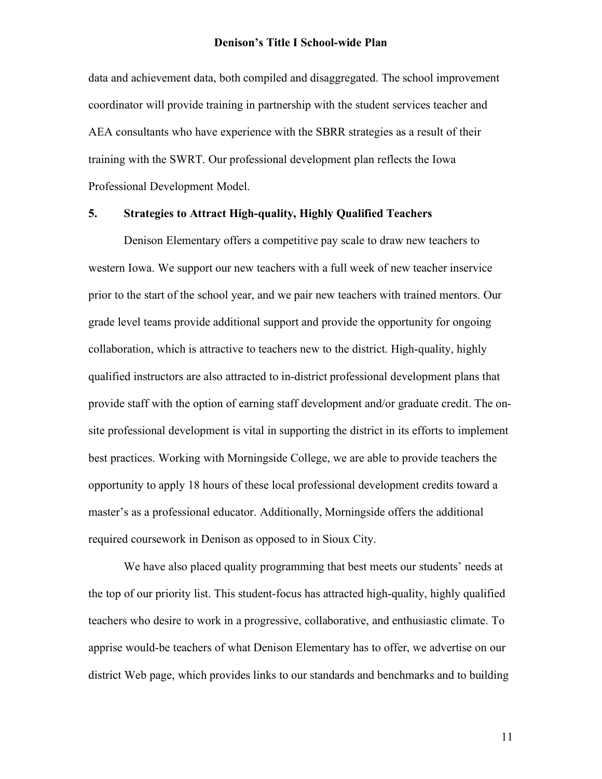data and achievement data, both compiled and disaggregated. The school improvement coordinator will provide training in partnership with the student services teacher and AEA consultants who have experience with the SBRR strategies as a result of their training with the SWRT. Our professional development plan reflects the Iowa Professional Development Model.

# **5. Strategies to Attract High-quality, Highly Qualified Teachers**

Denison Elementary offers a competitive pay scale to draw new teachers to western Iowa. We support our new teachers with a full week of new teacher inservice prior to the start of the school year, and we pair new teachers with trained mentors. Our grade level teams provide additional support and provide the opportunity for ongoing collaboration, which is attractive to teachers new to the district. High-quality, highly qualified instructors are also attracted to in-district professional development plans that provide staff with the option of earning staff development and/or graduate credit. The onsite professional development is vital in supporting the district in its efforts to implement best practices. Working with Morningside College, we are able to provide teachers the opportunity to apply 18 hours of these local professional development credits toward a master's as a professional educator. Additionally, Morningside offers the additional required coursework in Denison as opposed to in Sioux City.

We have also placed quality programming that best meets our students' needs at the top of our priority list. This student-focus has attracted high-quality, highly qualified teachers who desire to work in a progressive, collaborative, and enthusiastic climate. To apprise would-be teachers of what Denison Elementary has to offer, we advertise on our district Web page, which provides links to our standards and benchmarks and to building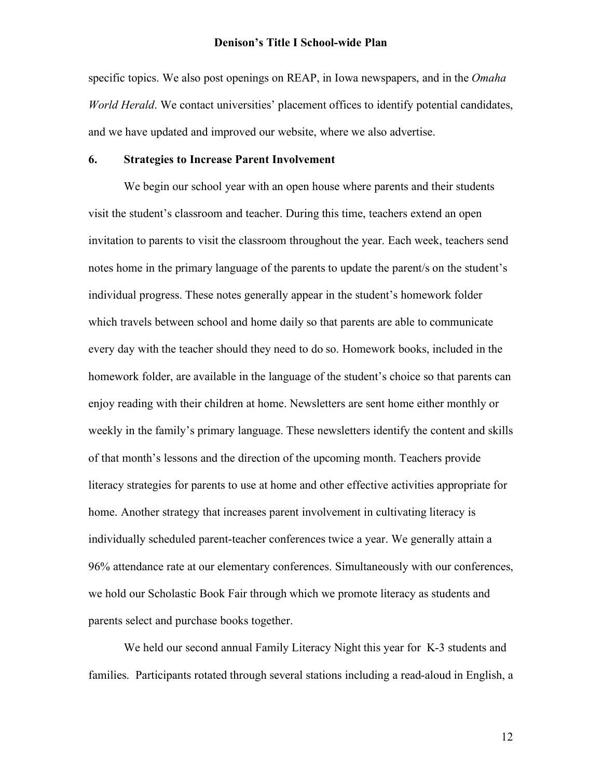specific topics. We also post openings on REAP, in Iowa newspapers, and in the *Omaha World Herald*. We contact universities' placement offices to identify potential candidates, and we have updated and improved our website, where we also advertise.

## **6. Strategies to Increase Parent Involvement**

We begin our school year with an open house where parents and their students visit the student's classroom and teacher. During this time, teachers extend an open invitation to parents to visit the classroom throughout the year. Each week, teachers send notes home in the primary language of the parents to update the parent/s on the student's individual progress. These notes generally appear in the student's homework folder which travels between school and home daily so that parents are able to communicate every day with the teacher should they need to do so. Homework books, included in the homework folder, are available in the language of the student's choice so that parents can enjoy reading with their children at home. Newsletters are sent home either monthly or weekly in the family's primary language. These newsletters identify the content and skills of that month's lessons and the direction of the upcoming month. Teachers provide literacy strategies for parents to use at home and other effective activities appropriate for home. Another strategy that increases parent involvement in cultivating literacy is individually scheduled parent-teacher conferences twice a year. We generally attain a 96% attendance rate at our elementary conferences. Simultaneously with our conferences, we hold our Scholastic Book Fair through which we promote literacy as students and parents select and purchase books together.

We held our second annual Family Literacy Night this year for K-3 students and families. Participants rotated through several stations including a read-aloud in English, a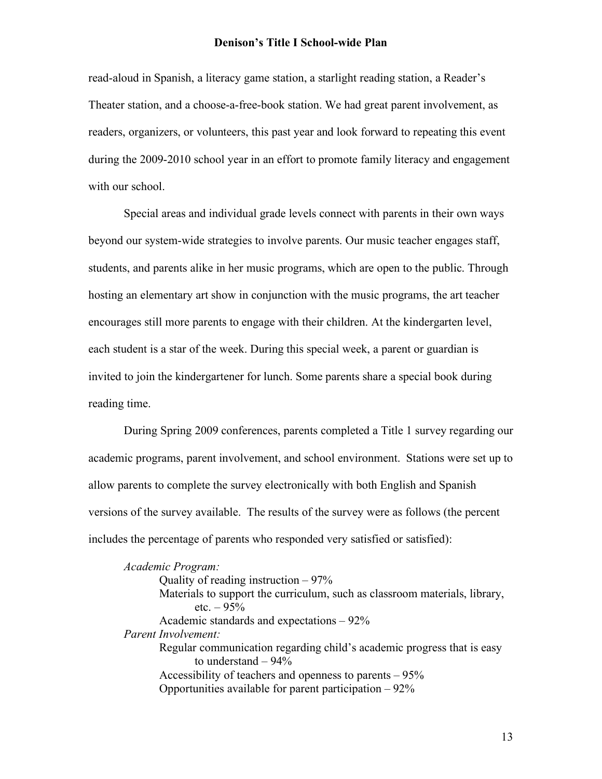read-aloud in Spanish, a literacy game station, a starlight reading station, a Reader's Theater station, and a choose-a-free-book station. We had great parent involvement, as readers, organizers, or volunteers, this past year and look forward to repeating this event during the 2009-2010 school year in an effort to promote family literacy and engagement with our school.

Special areas and individual grade levels connect with parents in their own ways beyond our system-wide strategies to involve parents. Our music teacher engages staff, students, and parents alike in her music programs, which are open to the public. Through hosting an elementary art show in conjunction with the music programs, the art teacher encourages still more parents to engage with their children. At the kindergarten level, each student is a star of the week. During this special week, a parent or guardian is invited to join the kindergartener for lunch. Some parents share a special book during reading time.

During Spring 2009 conferences, parents completed a Title 1 survey regarding our academic programs, parent involvement, and school environment. Stations were set up to allow parents to complete the survey electronically with both English and Spanish versions of the survey available. The results of the survey were as follows (the percent includes the percentage of parents who responded very satisfied or satisfied):

*Academic Program:* Quality of reading instruction  $-97\%$ Materials to support the curriculum, such as classroom materials, library, etc.  $-95%$ Academic standards and expectations – 92% *Parent Involvement:* Regular communication regarding child's academic progress that is easy to understand  $-94%$ Accessibility of teachers and openness to parents – 95% Opportunities available for parent participation – 92%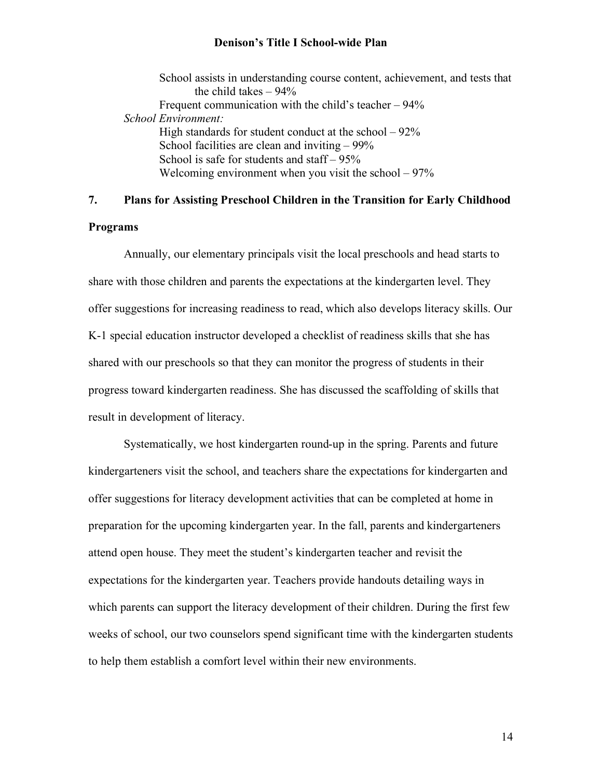School assists in understanding course content, achievement, and tests that the child takes  $-94\%$ Frequent communication with the child's teacher – 94% *School Environment:* High standards for student conduct at the school  $-92\%$ School facilities are clean and inviting – 99% School is safe for students and staff – 95% Welcoming environment when you visit the school  $-97%$ 

# **7. Plans for Assisting Preschool Children in the Transition for Early Childhood**

## **Programs**

Annually, our elementary principals visit the local preschools and head starts to share with those children and parents the expectations at the kindergarten level. They offer suggestions for increasing readiness to read, which also develops literacy skills. Our K-1 special education instructor developed a checklist of readiness skills that she has shared with our preschools so that they can monitor the progress of students in their progress toward kindergarten readiness. She has discussed the scaffolding of skills that result in development of literacy.

Systematically, we host kindergarten round-up in the spring. Parents and future kindergarteners visit the school, and teachers share the expectations for kindergarten and offer suggestions for literacy development activities that can be completed at home in preparation for the upcoming kindergarten year. In the fall, parents and kindergarteners attend open house. They meet the student's kindergarten teacher and revisit the expectations for the kindergarten year. Teachers provide handouts detailing ways in which parents can support the literacy development of their children. During the first few weeks of school, our two counselors spend significant time with the kindergarten students to help them establish a comfort level within their new environments.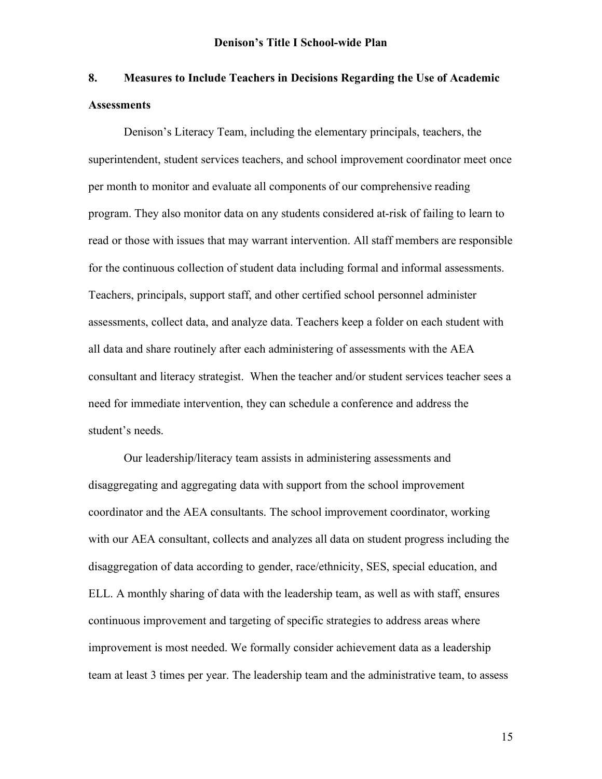# **8. Measures to Include Teachers in Decisions Regarding the Use of Academic Assessments**

Denison's Literacy Team, including the elementary principals, teachers, the superintendent, student services teachers, and school improvement coordinator meet once per month to monitor and evaluate all components of our comprehensive reading program. They also monitor data on any students considered at-risk of failing to learn to read or those with issues that may warrant intervention. All staff members are responsible for the continuous collection of student data including formal and informal assessments. Teachers, principals, support staff, and other certified school personnel administer assessments, collect data, and analyze data. Teachers keep a folder on each student with all data and share routinely after each administering of assessments with the AEA consultant and literacy strategist. When the teacher and/or student services teacher sees a need for immediate intervention, they can schedule a conference and address the student's needs.

Our leadership/literacy team assists in administering assessments and disaggregating and aggregating data with support from the school improvement coordinator and the AEA consultants. The school improvement coordinator, working with our AEA consultant, collects and analyzes all data on student progress including the disaggregation of data according to gender, race/ethnicity, SES, special education, and ELL. A monthly sharing of data with the leadership team, as well as with staff, ensures continuous improvement and targeting of specific strategies to address areas where improvement is most needed. We formally consider achievement data as a leadership team at least 3 times per year. The leadership team and the administrative team, to assess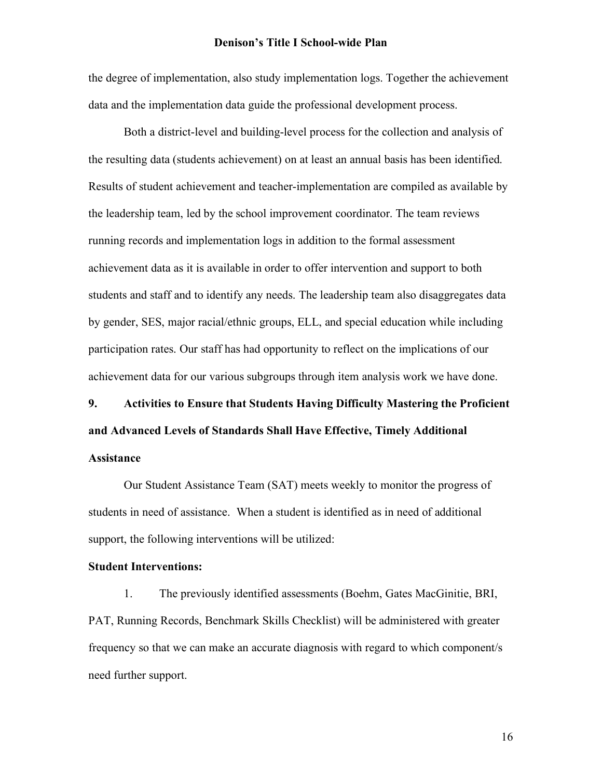the degree of implementation, also study implementation logs. Together the achievement data and the implementation data guide the professional development process.

Both a district-level and building-level process for the collection and analysis of the resulting data (students achievement) on at least an annual basis has been identified. Results of student achievement and teacher-implementation are compiled as available by the leadership team, led by the school improvement coordinator. The team reviews running records and implementation logs in addition to the formal assessment achievement data as it is available in order to offer intervention and support to both students and staff and to identify any needs. The leadership team also disaggregates data by gender, SES, major racial/ethnic groups, ELL, and special education while including participation rates. Our staff has had opportunity to reflect on the implications of our achievement data for our various subgroups through item analysis work we have done.

# **9. Activities to Ensure that Students Having Difficulty Mastering the Proficient and Advanced Levels of Standards Shall Have Effective, Timely Additional Assistance**

Our Student Assistance Team (SAT) meets weekly to monitor the progress of students in need of assistance. When a student is identified as in need of additional support, the following interventions will be utilized:

#### **Student Interventions:**

1. The previously identified assessments (Boehm, Gates MacGinitie, BRI, PAT, Running Records, Benchmark Skills Checklist) will be administered with greater frequency so that we can make an accurate diagnosis with regard to which component/s need further support.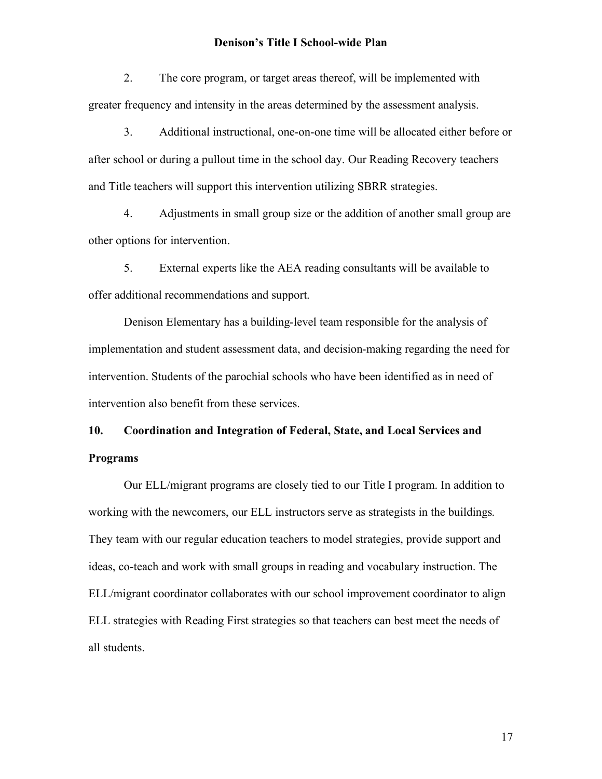2. The core program, or target areas thereof, will be implemented with greater frequency and intensity in the areas determined by the assessment analysis.

3. Additional instructional, one-on-one time will be allocated either before or after school or during a pullout time in the school day. Our Reading Recovery teachers and Title teachers will support this intervention utilizing SBRR strategies.

4. Adjustments in small group size or the addition of another small group are other options for intervention.

5. External experts like the AEA reading consultants will be available to offer additional recommendations and support.

Denison Elementary has a building-level team responsible for the analysis of implementation and student assessment data, and decision-making regarding the need for intervention. Students of the parochial schools who have been identified as in need of intervention also benefit from these services.

# **10. Coordination and Integration of Federal, State, and Local Services and Programs**

Our ELL/migrant programs are closely tied to our Title I program. In addition to working with the newcomers, our ELL instructors serve as strategists in the buildings. They team with our regular education teachers to model strategies, provide support and ideas, co-teach and work with small groups in reading and vocabulary instruction. The ELL/migrant coordinator collaborates with our school improvement coordinator to align ELL strategies with Reading First strategies so that teachers can best meet the needs of all students.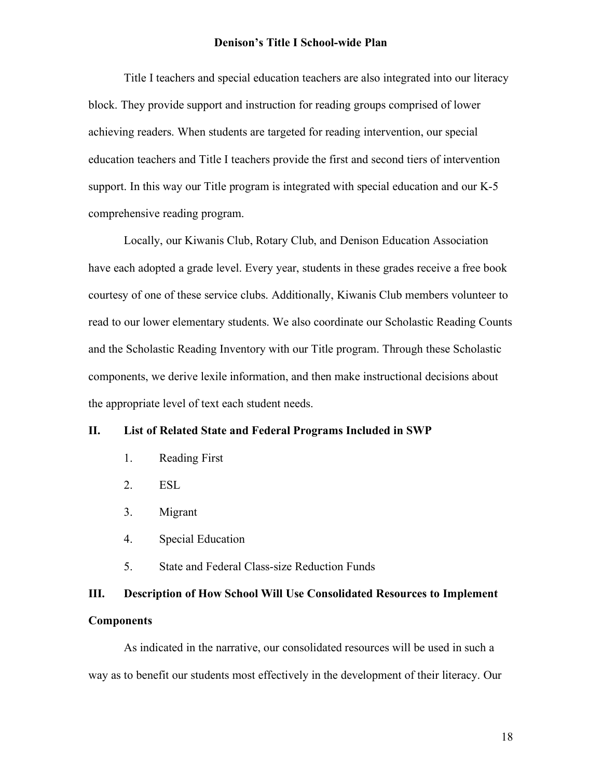Title I teachers and special education teachers are also integrated into our literacy block. They provide support and instruction for reading groups comprised of lower achieving readers. When students are targeted for reading intervention, our special education teachers and Title I teachers provide the first and second tiers of intervention support. In this way our Title program is integrated with special education and our K-5 comprehensive reading program.

Locally, our Kiwanis Club, Rotary Club, and Denison Education Association have each adopted a grade level. Every year, students in these grades receive a free book courtesy of one of these service clubs. Additionally, Kiwanis Club members volunteer to read to our lower elementary students. We also coordinate our Scholastic Reading Counts and the Scholastic Reading Inventory with our Title program. Through these Scholastic components, we derive lexile information, and then make instructional decisions about the appropriate level of text each student needs.

## **II. List of Related State and Federal Programs Included in SWP**

- 1. Reading First
- 2. ESL
- 3. Migrant
- 4. Special Education
- 5. State and Federal Class-size Reduction Funds

# **III. Description of How School Will Use Consolidated Resources to Implement Components**

As indicated in the narrative, our consolidated resources will be used in such a way as to benefit our students most effectively in the development of their literacy. Our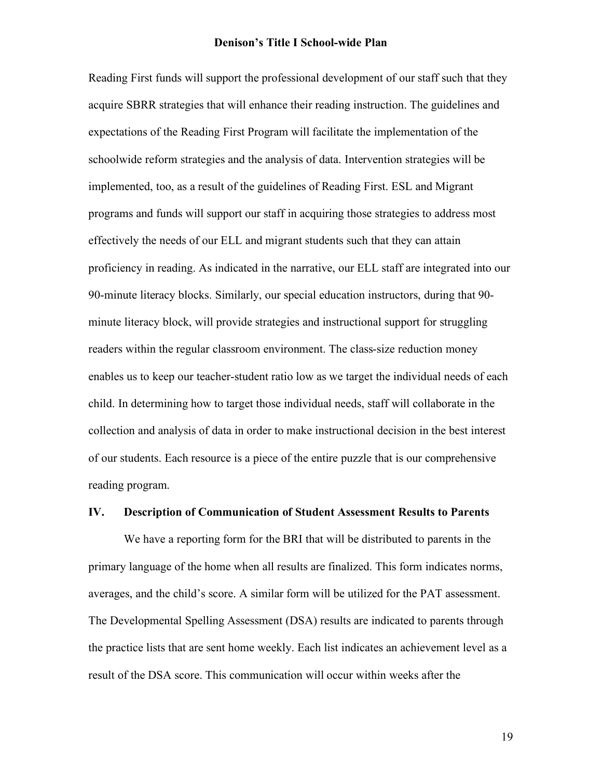Reading First funds will support the professional development of our staff such that they acquire SBRR strategies that will enhance their reading instruction. The guidelines and expectations of the Reading First Program will facilitate the implementation of the schoolwide reform strategies and the analysis of data. Intervention strategies will be implemented, too, as a result of the guidelines of Reading First. ESL and Migrant programs and funds will support our staff in acquiring those strategies to address most effectively the needs of our ELL and migrant students such that they can attain proficiency in reading. As indicated in the narrative, our ELL staff are integrated into our 90-minute literacy blocks. Similarly, our special education instructors, during that 90 minute literacy block, will provide strategies and instructional support for struggling readers within the regular classroom environment. The class-size reduction money enables us to keep our teacher-student ratio low as we target the individual needs of each child. In determining how to target those individual needs, staff will collaborate in the collection and analysis of data in order to make instructional decision in the best interest of our students. Each resource is a piece of the entire puzzle that is our comprehensive reading program.

#### **IV. Description of Communication of Student Assessment Results to Parents**

We have a reporting form for the BRI that will be distributed to parents in the primary language of the home when all results are finalized. This form indicates norms, averages, and the child's score. A similar form will be utilized for the PAT assessment. The Developmental Spelling Assessment (DSA) results are indicated to parents through the practice lists that are sent home weekly. Each list indicates an achievement level as a result of the DSA score. This communication will occur within weeks after the